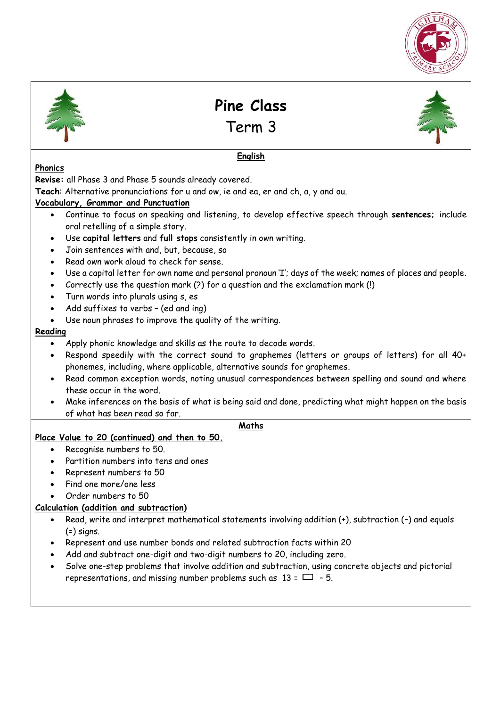



**Pine Class** 

Term 3



# **English**

#### **Phonics**

**Revise:** all Phase 3 and Phase 5 sounds already covered.

**Teach**: Alternative pronunciations for u and ow, ie and ea, er and ch, a, y and ou.

### **Vocabulary, Grammar and Punctuation**

- Continue to focus on speaking and listening, to develop effective speech through **sentences;** include oral retelling of a simple story.
- Use **capital letters** and **full stops** consistently in own writing.
- Join sentences with and, but, because, so
- Read own work aloud to check for sense.
- Use a capital letter for own name and personal pronoun 'I'; days of the week; names of places and people.
- Correctly use the question mark (?) for a question and the exclamation mark (!)
- Turn words into plurals using s, es
- Add suffixes to verbs (ed and ing)
- Use noun phrases to improve the quality of the writing.

#### **Reading**

- Apply phonic knowledge and skills as the route to decode words.
- Respond speedily with the correct sound to graphemes (letters or groups of letters) for all 40+ phonemes, including, where applicable, alternative sounds for graphemes.
- Read common exception words, noting unusual correspondences between spelling and sound and where these occur in the word.
- Make inferences on the basis of what is being said and done, predicting what might happen on the basis of what has been read so far.

#### **Maths**

#### **Place Value to 20 (continued) and then to 50.**

- Recognise numbers to 50.
- Partition numbers into tens and ones
- Represent numbers to 50
- Find one more/one less
- Order numbers to 50

## **Calculation (addition and subtraction)**

- Read, write and interpret mathematical statements involving addition (+), subtraction (–) and equals  $(=)$  signs.
- Represent and use number bonds and related subtraction facts within 20
- Add and subtract one-digit and two-digit numbers to 20, including zero.
- Solve one-step problems that involve addition and subtraction, using concrete objects and pictorial representations, and missing number problems such as  $13 = \square - 5$ .